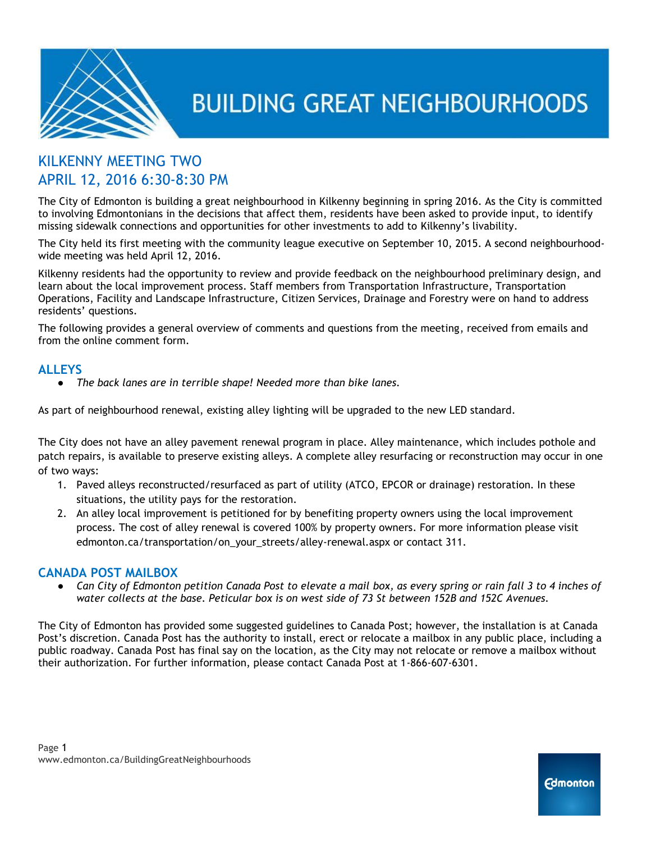

# KILKENNY MEETING TWO APRIL 12, 2016 6:30-8:30 PM

The City of Edmonton is building a great neighbourhood in Kilkenny beginning in spring 2016. As the City is committed to involving Edmontonians in the decisions that affect them, residents have been asked to provide input, to identify missing sidewalk connections and opportunities for other investments to add to Kilkenny's livability.

The City held its first meeting with the community league executive on September 10, 2015. A second neighbourhoodwide meeting was held April 12, 2016.

Kilkenny residents had the opportunity to review and provide feedback on the neighbourhood preliminary design, and learn about the local improvement process. Staff members from Transportation Infrastructure, Transportation Operations, Facility and Landscape Infrastructure, Citizen Services, Drainage and Forestry were on hand to address residents' questions.

The following provides a general overview of comments and questions from the meeting, received from emails and from the online comment form.

# **ALLEYS**

● *The back lanes are in terrible shape! Needed more than bike lanes.*

As part of neighbourhood renewal, existing alley lighting will be upgraded to the new LED standard.

The City does not have an alley pavement renewal program in place. Alley maintenance, which includes pothole and patch repairs, is available to preserve existing alleys. A complete alley resurfacing or reconstruction may occur in one of two ways:

- 1. Paved alleys reconstructed/resurfaced as part of utility (ATCO, EPCOR or drainage) restoration. In these situations, the utility pays for the restoration.
- 2. An alley local improvement is petitioned for by benefiting property owners using the local improvement process. The cost of alley renewal is covered 100% by property owners. For more information please visit edmonton.ca/transportation/on\_your\_streets/alley-renewal.aspx or contact 311.

# **CANADA POST MAILBOX**

● *Can City of Edmonton petition Canada Post to elevate a mail box, as every spring or rain fall 3 to 4 inches of water collects at the base. Peticular box is on west side of 73 St between 152B and 152C Avenues.*

The City of Edmonton has provided some suggested guidelines to Canada Post; however, the installation is at Canada Post's discretion. Canada Post has the authority to install, erect or relocate a mailbox in any public place, including a public roadway. Canada Post has final say on the location, as the City may not relocate or remove a mailbox without their authorization. For further information, please contact Canada Post at 1-866-607-6301.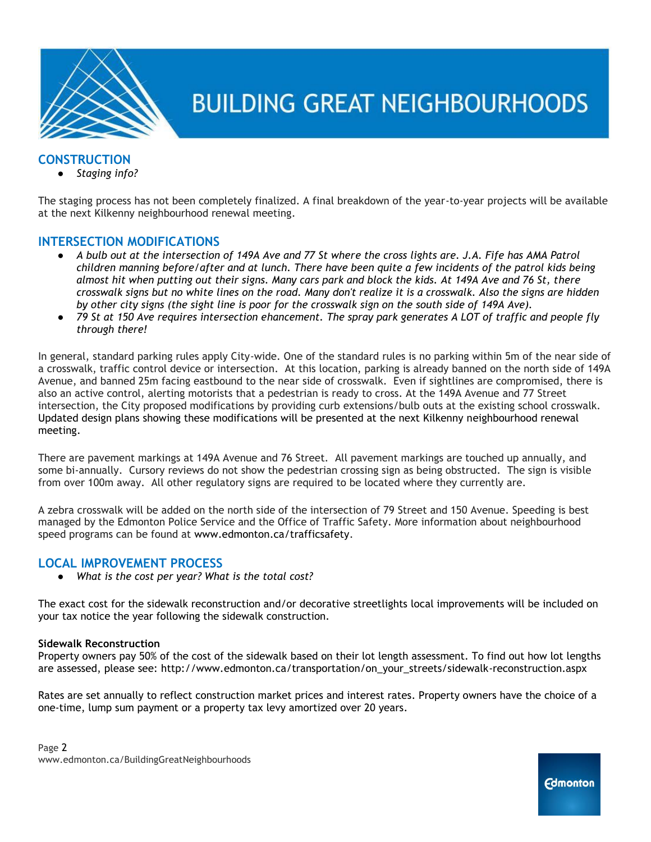

# **CONSTRUCTION**

● *Staging info?*

The staging process has not been completely finalized. A final breakdown of the year-to-year projects will be available at the next Kilkenny neighbourhood renewal meeting.

## **INTERSECTION MODIFICATIONS**

- *A bulb out at the intersection of 149A Ave and 77 St where the cross lights are. J.A. Fife has AMA Patrol children manning before/after and at lunch. There have been quite a few incidents of the patrol kids being almost hit when putting out their signs. Many cars park and block the kids. At 149A Ave and 76 St, there crosswalk signs but no white lines on the road. Many don't realize it is a crosswalk. Also the signs are hidden by other city signs (the sight line is poor for the crosswalk sign on the south side of 149A Ave).*
- *79 St at 150 Ave requires intersection ehancement. The spray park generates A LOT of traffic and people fly through there!*

In general, standard parking rules apply City-wide. One of the standard rules is no parking within 5m of the near side of a crosswalk, traffic control device or intersection. At this location, parking is already banned on the north side of 149A Avenue, and banned 25m facing eastbound to the near side of crosswalk. Even if sightlines are compromised, there is also an active control, alerting motorists that a pedestrian is ready to cross. At the 149A Avenue and 77 Street intersection, the City proposed modifications by providing curb extensions/bulb outs at the existing school crosswalk. Updated design plans showing these modifications will be presented at the next Kilkenny neighbourhood renewal meeting.

There are pavement markings at 149A Avenue and 76 Street. All pavement markings are touched up annually, and some bi-annually. Cursory reviews do not show the pedestrian crossing sign as being obstructed. The sign is visible from over 100m away. All other regulatory signs are required to be located where they currently are.

A zebra crosswalk will be added on the north side of the intersection of 79 Street and 150 Avenue. Speeding is best managed by the Edmonton Police Service and the Office of Traffic Safety. More information about neighbourhood speed programs can be found at [w](http://www.edmonton.ca/trafficsafety)ww.edmonton.ca/trafficsafety.

### **LOCAL IMPROVEMENT PROCESS**

● *What is the cost per year? What is the total cost?*

The exact cost for the sidewalk reconstruction and/or decorative streetlights local improvements will be included on your tax notice the year following the sidewalk construction.

#### **Sidewalk Reconstruction**

Property owners pay 50% of the cost of the sidewalk based on their lot length assessment. To find out how lot lengths are assessed, please see: http://www.edmonton.ca/transportation/on\_your\_streets/sidewalk-reconstruction.aspx

Rates are set annually to reflect construction market prices and interest rates. Property owners have the choice of a one-time, lump sum payment or a property tax levy amortized over 20 years.

**Edmonton**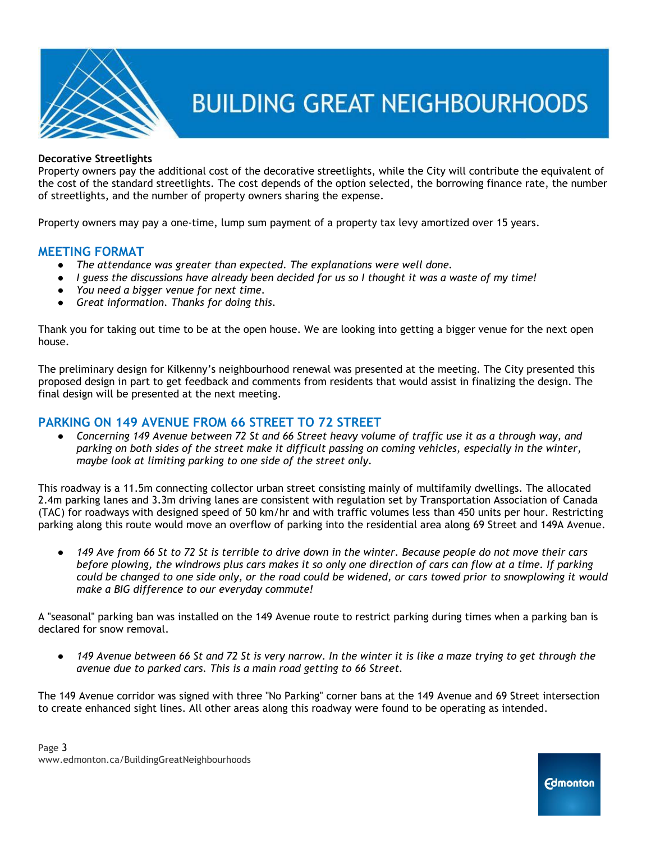

#### **Decorative Streetlights**

Property owners pay the additional cost of the decorative streetlights, while the City will contribute the equivalent of the cost of the standard streetlights. The cost depends of the option selected, the borrowing finance rate, the number of streetlights, and the number of property owners sharing the expense.

Property owners may pay a one-time, lump sum payment of a property tax levy amortized over 15 years.

### **MEETING FORMAT**

- *The attendance was greater than expected. The explanations were well done.*
- *I* guess the discussions have already been decided for us so I thought it was a waste of my time!
- *You need a bigger venue for next time.*
- *Great information. Thanks for doing this.*

Thank you for taking out time to be at the open house. We are looking into getting a bigger venue for the next open house.

The preliminary design for Kilkenny's neighbourhood renewal was presented at the meeting. The City presented this proposed design in part to get feedback and comments from residents that would assist in finalizing the design. The final design will be presented at the next meeting.

### **PARKING ON 149 AVENUE FROM 66 STREET TO 72 STREET**

● *Concerning 149 Avenue between 72 St and 66 Street heavy volume of traffic use it as a through way, and parking on both sides of the street make it difficult passing on coming vehicles, especially in the winter, maybe look at limiting parking to one side of the street only.*

This roadway is a 11.5m connecting collector urban street consisting mainly of multifamily dwellings. The allocated 2.4m parking lanes and 3.3m driving lanes are consistent with regulation set by Transportation Association of Canada (TAC) for roadways with designed speed of 50 km/hr and with traffic volumes less than 450 units per hour. Restricting parking along this route would move an overflow of parking into the residential area along 69 Street and 149A Avenue.

● *149 Ave from 66 St to 72 St is terrible to drive down in the winter. Because people do not move their cars before plowing, the windrows plus cars makes it so only one direction of cars can flow at a time. If parking could be changed to one side only, or the road could be widened, or cars towed prior to snowplowing it would make a BIG difference to our everyday commute!*

A "seasonal" parking ban was installed on the 149 Avenue route to restrict parking during times when a parking ban is declared for snow removal.

● *149 Avenue between 66 St and 72 St is very narrow. In the winter it is like a maze trying to get through the avenue due to parked cars. This is a main road getting to 66 Street.*

The 149 Avenue corridor was signed with three "No Parking" corner bans at the 149 Avenue and 69 Street intersection to create enhanced sight lines. All other areas along this roadway were found to be operating as intended.

**Edmonton**